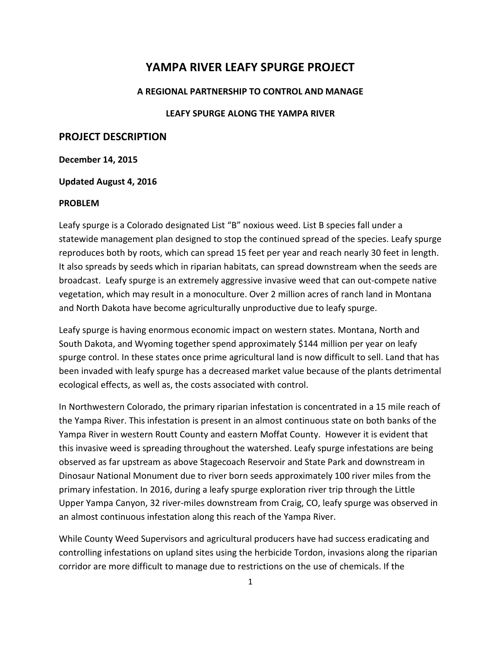# **YAMPA RIVER LEAFY SPURGE PROJECT**

#### **A REGIONAL PARTNERSHIP TO CONTROL AND MANAGE**

### **LEAFY SPURGE ALONG THE YAMPA RIVER**

## **PROJECT DESCRIPTION**

#### **December 14, 2015**

#### **Updated August 4, 2016**

#### **PROBLEM**

Leafy spurge is a Colorado designated List "B" noxious weed. List B species fall under a statewide management plan designed to stop the continued spread of the species. Leafy spurge reproduces both by roots, which can spread 15 feet per year and reach nearly 30 feet in length. It also spreads by seeds which in riparian habitats, can spread downstream when the seeds are broadcast. Leafy spurge is an extremely aggressive invasive weed that can out-compete native vegetation, which may result in a monoculture. Over 2 million acres of ranch land in Montana and North Dakota have become agriculturally unproductive due to leafy spurge.

Leafy spurge is having enormous economic impact on western states. Montana, North and South Dakota, and Wyoming together spend approximately \$144 million per year on leafy spurge control. In these states once prime agricultural land is now difficult to sell. Land that has been invaded with leafy spurge has a decreased market value because of the plants detrimental ecological effects, as well as, the costs associated with control.

In Northwestern Colorado, the primary riparian infestation is concentrated in a 15 mile reach of the Yampa River. This infestation is present in an almost continuous state on both banks of the Yampa River in western Routt County and eastern Moffat County. However it is evident that this invasive weed is spreading throughout the watershed. Leafy spurge infestations are being observed as far upstream as above Stagecoach Reservoir and State Park and downstream in Dinosaur National Monument due to river born seeds approximately 100 river miles from the primary infestation. In 2016, during a leafy spurge exploration river trip through the Little Upper Yampa Canyon, 32 river-miles downstream from Craig, CO, leafy spurge was observed in an almost continuous infestation along this reach of the Yampa River.

While County Weed Supervisors and agricultural producers have had success eradicating and controlling infestations on upland sites using the herbicide Tordon, invasions along the riparian corridor are more difficult to manage due to restrictions on the use of chemicals. If the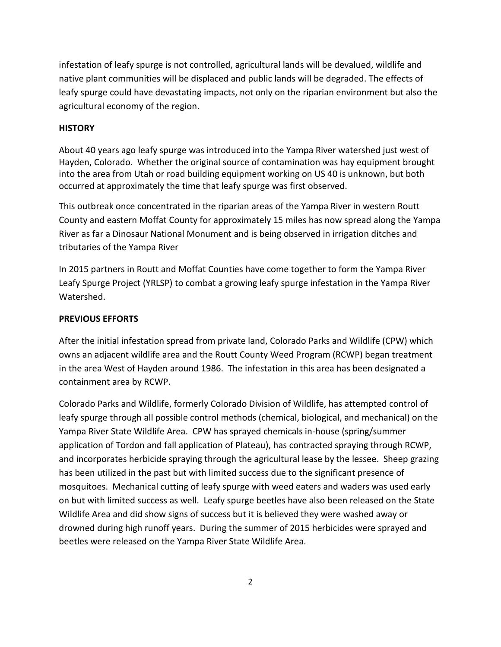infestation of leafy spurge is not controlled, agricultural lands will be devalued, wildlife and native plant communities will be displaced and public lands will be degraded. The effects of leafy spurge could have devastating impacts, not only on the riparian environment but also the agricultural economy of the region.

## **HISTORY**

About 40 years ago leafy spurge was introduced into the Yampa River watershed just west of Hayden, Colorado. Whether the original source of contamination was hay equipment brought into the area from Utah or road building equipment working on US 40 is unknown, but both occurred at approximately the time that leafy spurge was first observed.

This outbreak once concentrated in the riparian areas of the Yampa River in western Routt County and eastern Moffat County for approximately 15 miles has now spread along the Yampa River as far a Dinosaur National Monument and is being observed in irrigation ditches and tributaries of the Yampa River

In 2015 partners in Routt and Moffat Counties have come together to form the Yampa River Leafy Spurge Project (YRLSP) to combat a growing leafy spurge infestation in the Yampa River Watershed.

## **PREVIOUS EFFORTS**

After the initial infestation spread from private land, Colorado Parks and Wildlife (CPW) which owns an adjacent wildlife area and the Routt County Weed Program (RCWP) began treatment in the area West of Hayden around 1986. The infestation in this area has been designated a containment area by RCWP.

Colorado Parks and Wildlife, formerly Colorado Division of Wildlife, has attempted control of leafy spurge through all possible control methods (chemical, biological, and mechanical) on the Yampa River State Wildlife Area. CPW has sprayed chemicals in-house (spring/summer application of Tordon and fall application of Plateau), has contracted spraying through RCWP, and incorporates herbicide spraying through the agricultural lease by the lessee. Sheep grazing has been utilized in the past but with limited success due to the significant presence of mosquitoes. Mechanical cutting of leafy spurge with weed eaters and waders was used early on but with limited success as well. Leafy spurge beetles have also been released on the State Wildlife Area and did show signs of success but it is believed they were washed away or drowned during high runoff years. During the summer of 2015 herbicides were sprayed and beetles were released on the Yampa River State Wildlife Area.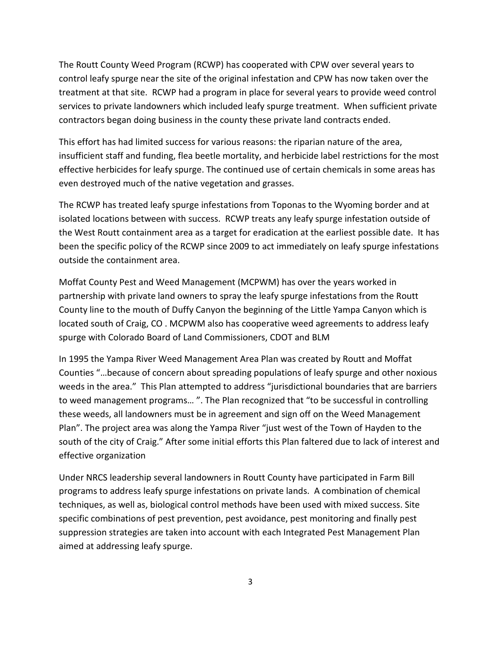The Routt County Weed Program (RCWP) has cooperated with CPW over several years to control leafy spurge near the site of the original infestation and CPW has now taken over the treatment at that site. RCWP had a program in place for several years to provide weed control services to private landowners which included leafy spurge treatment. When sufficient private contractors began doing business in the county these private land contracts ended.

This effort has had limited success for various reasons: the riparian nature of the area, insufficient staff and funding, flea beetle mortality, and herbicide label restrictions for the most effective herbicides for leafy spurge. The continued use of certain chemicals in some areas has even destroyed much of the native vegetation and grasses.

The RCWP has treated leafy spurge infestations from Toponas to the Wyoming border and at isolated locations between with success. RCWP treats any leafy spurge infestation outside of the West Routt containment area as a target for eradication at the earliest possible date. It has been the specific policy of the RCWP since 2009 to act immediately on leafy spurge infestations outside the containment area.

Moffat County Pest and Weed Management (MCPWM) has over the years worked in partnership with private land owners to spray the leafy spurge infestations from the Routt County line to the mouth of Duffy Canyon the beginning of the Little Yampa Canyon which is located south of Craig, CO . MCPWM also has cooperative weed agreements to address leafy spurge with Colorado Board of Land Commissioners, CDOT and BLM

In 1995 the Yampa River Weed Management Area Plan was created by Routt and Moffat Counties "…because of concern about spreading populations of leafy spurge and other noxious weeds in the area." This Plan attempted to address "jurisdictional boundaries that are barriers to weed management programs… ". The Plan recognized that "to be successful in controlling these weeds, all landowners must be in agreement and sign off on the Weed Management Plan". The project area was along the Yampa River "just west of the Town of Hayden to the south of the city of Craig." After some initial efforts this Plan faltered due to lack of interest and effective organization

Under NRCS leadership several landowners in Routt County have participated in Farm Bill programs to address leafy spurge infestations on private lands. A combination of chemical techniques, as well as, biological control methods have been used with mixed success. Site specific combinations of pest prevention, pest avoidance, pest monitoring and finally pest suppression strategies are taken into account with each Integrated Pest Management Plan aimed at addressing leafy spurge.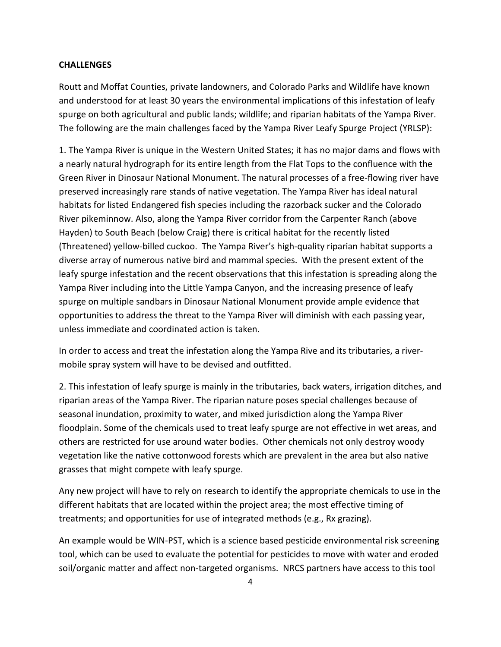#### **CHALLENGES**

Routt and Moffat Counties, private landowners, and Colorado Parks and Wildlife have known and understood for at least 30 years the environmental implications of this infestation of leafy spurge on both agricultural and public lands; wildlife; and riparian habitats of the Yampa River. The following are the main challenges faced by the Yampa River Leafy Spurge Project (YRLSP):

1. The Yampa River is unique in the Western United States; it has no major dams and flows with a nearly natural hydrograph for its entire length from the Flat Tops to the confluence with the Green River in Dinosaur National Monument. The natural processes of a free-flowing river have preserved increasingly rare stands of native vegetation. The Yampa River has ideal natural habitats for listed Endangered fish species including the razorback sucker and the Colorado River pikeminnow. Also, along the Yampa River corridor from the Carpenter Ranch (above Hayden) to South Beach (below Craig) there is critical habitat for the recently listed (Threatened) yellow-billed cuckoo. The Yampa River's high-quality riparian habitat supports a diverse array of numerous native bird and mammal species. With the present extent of the leafy spurge infestation and the recent observations that this infestation is spreading along the Yampa River including into the Little Yampa Canyon, and the increasing presence of leafy spurge on multiple sandbars in Dinosaur National Monument provide ample evidence that opportunities to address the threat to the Yampa River will diminish with each passing year, unless immediate and coordinated action is taken.

In order to access and treat the infestation along the Yampa Rive and its tributaries, a rivermobile spray system will have to be devised and outfitted.

2. This infestation of leafy spurge is mainly in the tributaries, back waters, irrigation ditches, and riparian areas of the Yampa River. The riparian nature poses special challenges because of seasonal inundation, proximity to water, and mixed jurisdiction along the Yampa River floodplain. Some of the chemicals used to treat leafy spurge are not effective in wet areas, and others are restricted for use around water bodies. Other chemicals not only destroy woody vegetation like the native cottonwood forests which are prevalent in the area but also native grasses that might compete with leafy spurge.

Any new project will have to rely on research to identify the appropriate chemicals to use in the different habitats that are located within the project area; the most effective timing of treatments; and opportunities for use of integrated methods (e.g., Rx grazing).

An example would be WIN-PST, which is a science based pesticide environmental risk screening tool, which can be used to evaluate the potential for pesticides to move with water and eroded soil/organic matter and affect non-targeted organisms. NRCS partners have access to this tool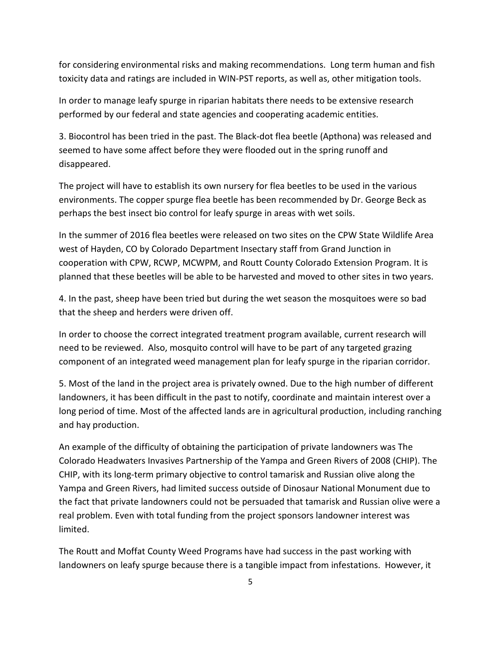for considering environmental risks and making recommendations. Long term human and fish toxicity data and ratings are included in WIN-PST reports, as well as, other mitigation tools.

In order to manage leafy spurge in riparian habitats there needs to be extensive research performed by our federal and state agencies and cooperating academic entities.

3. Biocontrol has been tried in the past. The Black-dot flea beetle (Apthona) was released and seemed to have some affect before they were flooded out in the spring runoff and disappeared.

The project will have to establish its own nursery for flea beetles to be used in the various environments. The copper spurge flea beetle has been recommended by Dr. George Beck as perhaps the best insect bio control for leafy spurge in areas with wet soils.

In the summer of 2016 flea beetles were released on two sites on the CPW State Wildlife Area west of Hayden, CO by Colorado Department Insectary staff from Grand Junction in cooperation with CPW, RCWP, MCWPM, and Routt County Colorado Extension Program. It is planned that these beetles will be able to be harvested and moved to other sites in two years.

4. In the past, sheep have been tried but during the wet season the mosquitoes were so bad that the sheep and herders were driven off.

In order to choose the correct integrated treatment program available, current research will need to be reviewed. Also, mosquito control will have to be part of any targeted grazing component of an integrated weed management plan for leafy spurge in the riparian corridor.

5. Most of the land in the project area is privately owned. Due to the high number of different landowners, it has been difficult in the past to notify, coordinate and maintain interest over a long period of time. Most of the affected lands are in agricultural production, including ranching and hay production.

An example of the difficulty of obtaining the participation of private landowners was The Colorado Headwaters Invasives Partnership of the Yampa and Green Rivers of 2008 (CHIP). The CHIP, with its long-term primary objective to control tamarisk and Russian olive along the Yampa and Green Rivers, had limited success outside of Dinosaur National Monument due to the fact that private landowners could not be persuaded that tamarisk and Russian olive were a real problem. Even with total funding from the project sponsors landowner interest was limited.

The Routt and Moffat County Weed Programs have had success in the past working with landowners on leafy spurge because there is a tangible impact from infestations. However, it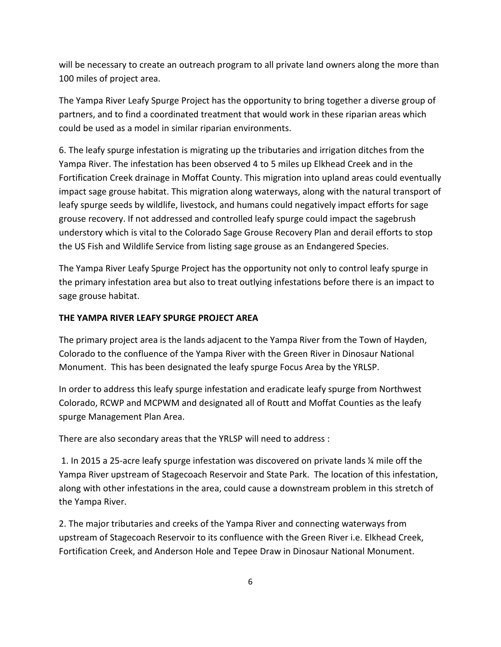will be necessary to create an outreach program to all private land owners along the more than 100 miles of project area.

The Yampa River Leafy Spurge Project has the opportunity to bring together a diverse group of partners, and to find a coordinated treatment that would work in these riparian areas which could be used as a model in similar riparian environments.

6. The leafy spurge infestation is migrating up the tributaries and irrigation ditches from the Yampa River. The infestation has been observed 4 to 5 miles up Elkhead Creek and in the Fortification Creek drainage in Moffat County. This migration into upland areas could eventually impact sage grouse habitat. This migration along waterways, along with the natural transport of leafy spurge seeds by wildlife, livestock, and humans could negatively impact efforts for sage grouse recovery. If not addressed and controlled leafy spurge could impact the sagebrush understory which is vital to the Colorado Sage Grouse Recovery Plan and derail efforts to stop the US Fish and Wildlife Service from listing sage grouse as an Endangered Species.

The Yampa River Leafy Spurge Project has the opportunity not only to control leafy spurge in the primary infestation area but also to treat outlying infestations before there is an impact to sage grouse habitat.

## **THE YAMPA RIVER LEAFY SPURGE PROJECT AREA**

The primary project area is the lands adjacent to the Yampa River from the Town of Hayden, Colorado to the confluence of the Yampa River with the Green River in Dinosaur National Monument. This has been designated the leafy spurge Focus Area by the YRLSP.

In order to address this leafy spurge infestation and eradicate leafy spurge from Northwest Colorado, RCWP and MCPWM and designated all of Routt and Moffat Counties as the leafy spurge Management Plan Area.

There are also secondary areas that the YRLSP will need to address :

1. In 2015 a 25-acre leafy spurge infestation was discovered on private lands ¼ mile off the Yampa River upstream of Stagecoach Reservoir and State Park. The location of this infestation, along with other infestations in the area, could cause a downstream problem in this stretch of the Yampa River.

2. The major tributaries and creeks of the Yampa River and connecting waterways from upstream of Stagecoach Reservoir to its confluence with the Green River i.e. Elkhead Creek, Fortification Creek, and Anderson Hole and Tepee Draw in Dinosaur National Monument.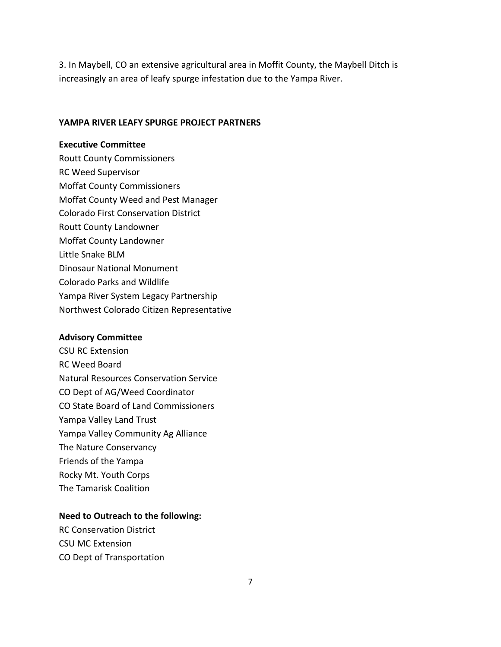3. In Maybell, CO an extensive agricultural area in Moffit County, the Maybell Ditch is increasingly an area of leafy spurge infestation due to the Yampa River.

#### **YAMPA RIVER LEAFY SPURGE PROJECT PARTNERS**

## **Executive Committee**

Routt County Commissioners RC Weed Supervisor Moffat County Commissioners Moffat County Weed and Pest Manager Colorado First Conservation District Routt County Landowner Moffat County Landowner Little Snake BLM Dinosaur National Monument Colorado Parks and Wildlife Yampa River System Legacy Partnership Northwest Colorado Citizen Representative

#### **Advisory Committee**

CSU RC Extension RC Weed Board Natural Resources Conservation Service CO Dept of AG/Weed Coordinator CO State Board of Land Commissioners Yampa Valley Land Trust Yampa Valley Community Ag Alliance The Nature Conservancy Friends of the Yampa Rocky Mt. Youth Corps The Tamarisk Coalition

#### **Need to Outreach to the following:**

RC Conservation District CSU MC Extension CO Dept of Transportation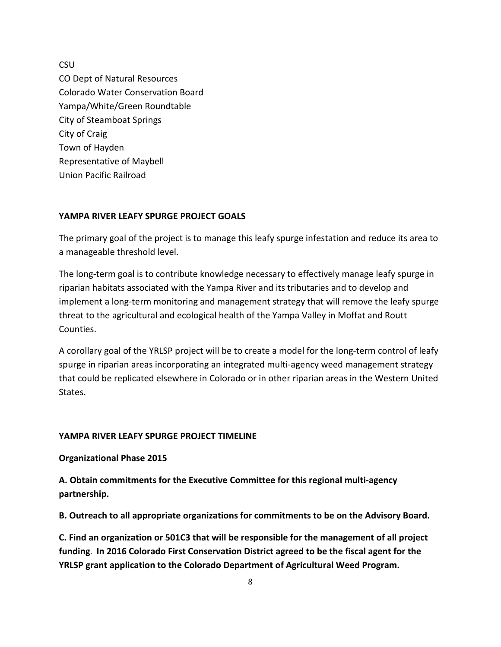**CSU** CO Dept of Natural Resources Colorado Water Conservation Board Yampa/White/Green Roundtable City of Steamboat Springs City of Craig Town of Hayden Representative of Maybell Union Pacific Railroad

## **YAMPA RIVER LEAFY SPURGE PROJECT GOALS**

The primary goal of the project is to manage this leafy spurge infestation and reduce its area to a manageable threshold level.

The long-term goal is to contribute knowledge necessary to effectively manage leafy spurge in riparian habitats associated with the Yampa River and its tributaries and to develop and implement a long-term monitoring and management strategy that will remove the leafy spurge threat to the agricultural and ecological health of the Yampa Valley in Moffat and Routt Counties.

A corollary goal of the YRLSP project will be to create a model for the long-term control of leafy spurge in riparian areas incorporating an integrated multi-agency weed management strategy that could be replicated elsewhere in Colorado or in other riparian areas in the Western United States.

#### **YAMPA RIVER LEAFY SPURGE PROJECT TIMELINE**

**Organizational Phase 2015**

**A. Obtain commitments for the Executive Committee for this regional multi-agency partnership.**

**B. Outreach to all appropriate organizations for commitments to be on the Advisory Board.**

**C. Find an organization or 501C3 that will be responsible for the management of all project funding**. **In 2016 Colorado First Conservation District agreed to be the fiscal agent for the YRLSP grant application to the Colorado Department of Agricultural Weed Program.**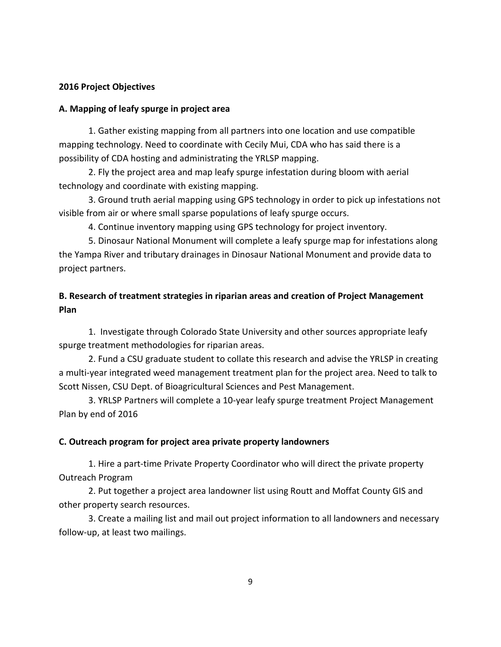## **2016 Project Objectives**

### **A. Mapping of leafy spurge in project area**

1. Gather existing mapping from all partners into one location and use compatible mapping technology. Need to coordinate with Cecily Mui, CDA who has said there is a possibility of CDA hosting and administrating the YRLSP mapping.

2. Fly the project area and map leafy spurge infestation during bloom with aerial technology and coordinate with existing mapping.

3. Ground truth aerial mapping using GPS technology in order to pick up infestations not visible from air or where small sparse populations of leafy spurge occurs.

4. Continue inventory mapping using GPS technology for project inventory.

5. Dinosaur National Monument will complete a leafy spurge map for infestations along the Yampa River and tributary drainages in Dinosaur National Monument and provide data to project partners.

# **B. Research of treatment strategies in riparian areas and creation of Project Management Plan**

1. Investigate through Colorado State University and other sources appropriate leafy spurge treatment methodologies for riparian areas.

2. Fund a CSU graduate student to collate this research and advise the YRLSP in creating a multi-year integrated weed management treatment plan for the project area. Need to talk to Scott Nissen, CSU Dept. of Bioagricultural Sciences and Pest Management.

3. YRLSP Partners will complete a 10-year leafy spurge treatment Project Management Plan by end of 2016

## **C. Outreach program for project area private property landowners**

1. Hire a part-time Private Property Coordinator who will direct the private property Outreach Program

2. Put together a project area landowner list using Routt and Moffat County GIS and other property search resources.

3. Create a mailing list and mail out project information to all landowners and necessary follow-up, at least two mailings.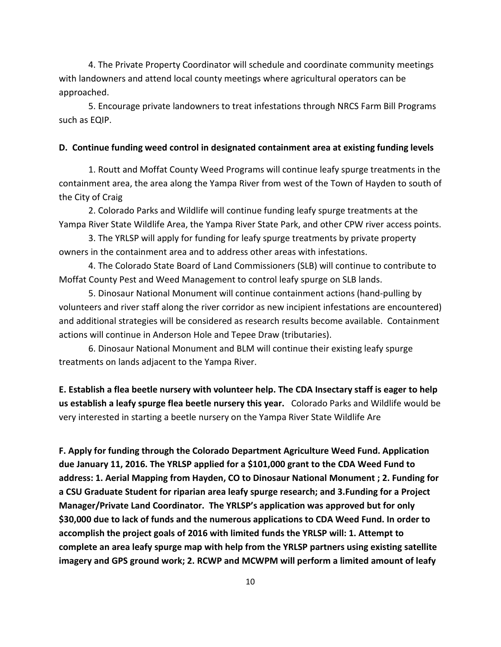4. The Private Property Coordinator will schedule and coordinate community meetings with landowners and attend local county meetings where agricultural operators can be approached.

5. Encourage private landowners to treat infestations through NRCS Farm Bill Programs such as EQIP.

#### **D. Continue funding weed control in designated containment area at existing funding levels**

1. Routt and Moffat County Weed Programs will continue leafy spurge treatments in the containment area, the area along the Yampa River from west of the Town of Hayden to south of the City of Craig

2. Colorado Parks and Wildlife will continue funding leafy spurge treatments at the Yampa River State Wildlife Area, the Yampa River State Park, and other CPW river access points.

3. The YRLSP will apply for funding for leafy spurge treatments by private property owners in the containment area and to address other areas with infestations.

4. The Colorado State Board of Land Commissioners (SLB) will continue to contribute to Moffat County Pest and Weed Management to control leafy spurge on SLB lands.

5. Dinosaur National Monument will continue containment actions (hand-pulling by volunteers and river staff along the river corridor as new incipient infestations are encountered) and additional strategies will be considered as research results become available. Containment actions will continue in Anderson Hole and Tepee Draw (tributaries).

6. Dinosaur National Monument and BLM will continue their existing leafy spurge treatments on lands adjacent to the Yampa River.

**E. Establish a flea beetle nursery with volunteer help. The CDA Insectary staff is eager to help us establish a leafy spurge flea beetle nursery this year.** Colorado Parks and Wildlife would be very interested in starting a beetle nursery on the Yampa River State Wildlife Are

**F. Apply for funding through the Colorado Department Agriculture Weed Fund. Application due January 11, 2016. The YRLSP applied for a \$101,000 grant to the CDA Weed Fund to address: 1. Aerial Mapping from Hayden, CO to Dinosaur National Monument ; 2. Funding for a CSU Graduate Student for riparian area leafy spurge research; and 3.Funding for a Project Manager/Private Land Coordinator. The YRLSP's application was approved but for only \$30,000 due to lack of funds and the numerous applications to CDA Weed Fund. In order to accomplish the project goals of 2016 with limited funds the YRLSP will: 1. Attempt to complete an area leafy spurge map with help from the YRLSP partners using existing satellite imagery and GPS ground work; 2. RCWP and MCWPM will perform a limited amount of leafy**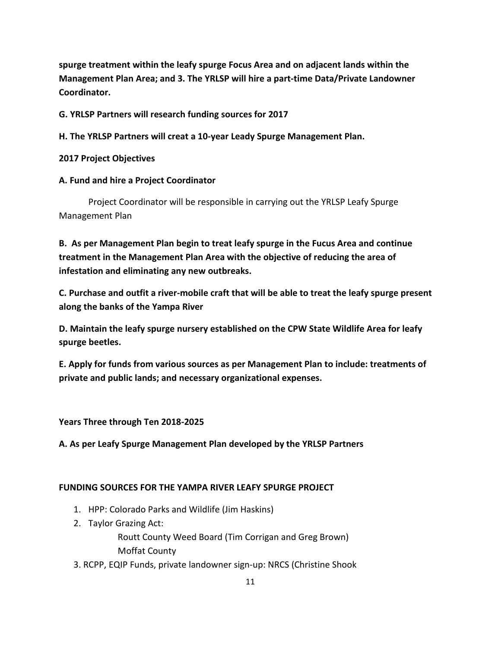**spurge treatment within the leafy spurge Focus Area and on adjacent lands within the Management Plan Area; and 3. The YRLSP will hire a part-time Data/Private Landowner Coordinator.**

**G. YRLSP Partners will research funding sources for 2017**

**H. The YRLSP Partners will creat a 10-year Leady Spurge Management Plan.**

**2017 Project Objectives**

## **A. Fund and hire a Project Coordinator**

Project Coordinator will be responsible in carrying out the YRLSP Leafy Spurge Management Plan

**B. As per Management Plan begin to treat leafy spurge in the Fucus Area and continue treatment in the Management Plan Area with the objective of reducing the area of infestation and eliminating any new outbreaks.**

**C. Purchase and outfit a river-mobile craft that will be able to treat the leafy spurge present along the banks of the Yampa River**

**D. Maintain the leafy spurge nursery established on the CPW State Wildlife Area for leafy spurge beetles.** 

**E. Apply for funds from various sources as per Management Plan to include: treatments of private and public lands; and necessary organizational expenses.**

**Years Three through Ten 2018-2025**

**A. As per Leafy Spurge Management Plan developed by the YRLSP Partners**

## **FUNDING SOURCES FOR THE YAMPA RIVER LEAFY SPURGE PROJECT**

- 1. HPP: Colorado Parks and Wildlife (Jim Haskins)
- 2. Taylor Grazing Act:

Routt County Weed Board (Tim Corrigan and Greg Brown) Moffat County

3. RCPP, EQIP Funds, private landowner sign-up: NRCS (Christine Shook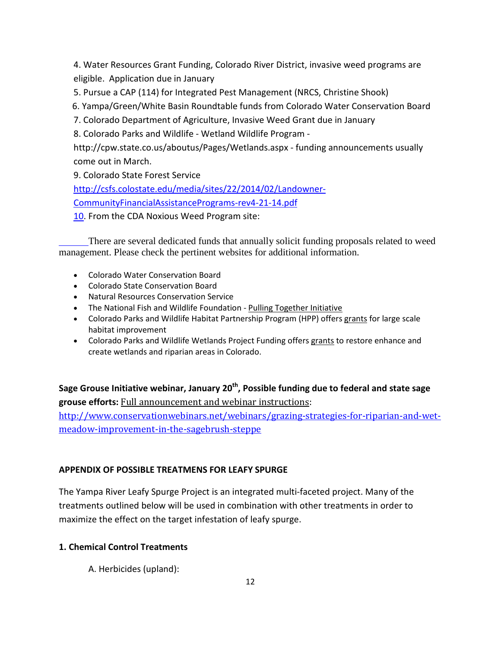4. Water Resources Grant Funding, Colorado River District, invasive weed programs are eligible. Application due in January

5. Pursue a CAP (114) for Integrated Pest Management (NRCS, Christine Shook)

6. Yampa/Green/White Basin Roundtable funds from Colorado Water Conservation Board

7. Colorado Department of Agriculture, Invasive Weed Grant due in January

8. Colorado Parks and Wildlife - Wetland Wildlife Program -

http://cpw.state.co.us/aboutus/Pages/Wetlands.aspx - funding announcements usually come out in March.

9. Colorado State Forest Service

[http://csfs.colostate.edu/media/sites/22/2014/02/Landowner-](http://csfs.colostate.edu/media/sites/22/2014/02/Landowner-CommunityFinancialAssistancePrograms-rev4-21-14.pdf%2010)[CommunityFinancialAssistancePrograms-rev4-21-14.pdf](http://csfs.colostate.edu/media/sites/22/2014/02/Landowner-CommunityFinancialAssistancePrograms-rev4-21-14.pdf%2010) 

[10.](http://csfs.colostate.edu/media/sites/22/2014/02/Landowner-CommunityFinancialAssistancePrograms-rev4-21-14.pdf%2010) From the CDA Noxious Weed Program site:

There are several dedicated funds that annually solicit funding proposals related to weed management. Please check the pertinent websites for additional information.

- [Colorado Water Conservation Board](http://cwcb.state.co.us/LoansGrants/Pages/LoansGrantsHome.aspx)
- [Colorado State Conservation Board](https://www.colorado.gov/pacific/node/50401)
- [Natural Resources Conservation Service](http://www.nrcs.usda.gov/wps/portal/nrcs/main/co/programs/)
- The National Fish and Wildlife Foundation [Pulling Together](http://www.nfwf.org/pti) Initiative
- Colorado Parks and Wildlife Habitat Partnership Program (HPP) offers [grants](http://cpw.state.co.us/aboutus/Pages/HabitatPartnershipProgram.aspx) for large scale habitat improvement
- Colorado Parks and Wildlife Wetlands Project Funding offers [grants](http://cpw.state.co.us/aboutus/Pages/WetlandsProjectFunding.aspx) to restore enhance and create wetlands and riparian areas in Colorado.

**Sage Grouse Initiative webinar, January 20th, Possible funding due to federal and state sage grouse efforts:** Full announcement and webinar instructions: [http://www.conservationwebinars.net/webinars/grazing-strategies-for-riparian-and-wet](http://www.conservationwebinars.net/webinars/grazing-strategies-for-riparian-and-wet-meadow-improvement-in-the-sagebrush-steppe)[meadow-improvement-in-the-sagebrush-steppe](http://www.conservationwebinars.net/webinars/grazing-strategies-for-riparian-and-wet-meadow-improvement-in-the-sagebrush-steppe)

# **APPENDIX OF POSSIBLE TREATMENS FOR LEAFY SPURGE**

The Yampa River Leafy Spurge Project is an integrated multi-faceted project. Many of the treatments outlined below will be used in combination with other treatments in order to maximize the effect on the target infestation of leafy spurge.

# **1. Chemical Control Treatments**

A. Herbicides (upland):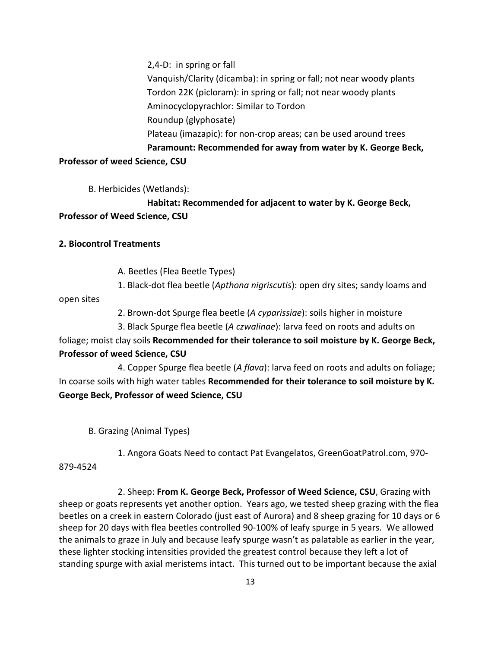2,4-D: in spring or fall Vanquish/Clarity (dicamba): in spring or fall; not near woody plants Tordon 22K (picloram): in spring or fall; not near woody plants Aminocyclopyrachlor: Similar to Tordon Roundup (glyphosate) Plateau (imazapic): for non-crop areas; can be used around trees **Paramount: Recommended for away from water by K. George Beck, Professor of weed Science, CSU**

B. Herbicides (Wetlands):

**Habitat: Recommended for adjacent to water by K. George Beck, Professor of Weed Science, CSU**

## **2. Biocontrol Treatments**

A. Beetles (Flea Beetle Types)

1. Black-dot flea beetle (*Apthona nigriscutis*): open dry sites; sandy loams and

open sites

- 2. Brown-dot Spurge flea beetle (*A cyparissiae*): soils higher in moisture
- 3. Black Spurge flea beetle (*A czwalinae*): larva feed on roots and adults on

foliage; moist clay soils **Recommended for their tolerance to soil moisture by K. George Beck, Professor of weed Science, CSU**

4. Copper Spurge flea beetle (*A flava*): larva feed on roots and adults on foliage; In coarse soils with high water tables **Recommended for their tolerance to soil moisture by K. George Beck, Professor of weed Science, CSU**

B. Grazing (Animal Types)

1. Angora Goats Need to contact Pat Evangelatos, GreenGoatPatrol.com, 970-

879-4524

2. Sheep: **From K. George Beck, Professor of Weed Science, CSU**, Grazing with sheep or goats represents yet another option. Years ago, we tested sheep grazing with the flea beetles on a creek in eastern Colorado (just east of Aurora) and 8 sheep grazing for 10 days or 6 sheep for 20 days with flea beetles controlled 90-100% of leafy spurge in 5 years. We allowed the animals to graze in July and because leafy spurge wasn't as palatable as earlier in the year, these lighter stocking intensities provided the greatest control because they left a lot of standing spurge with axial meristems intact. This turned out to be important because the axial